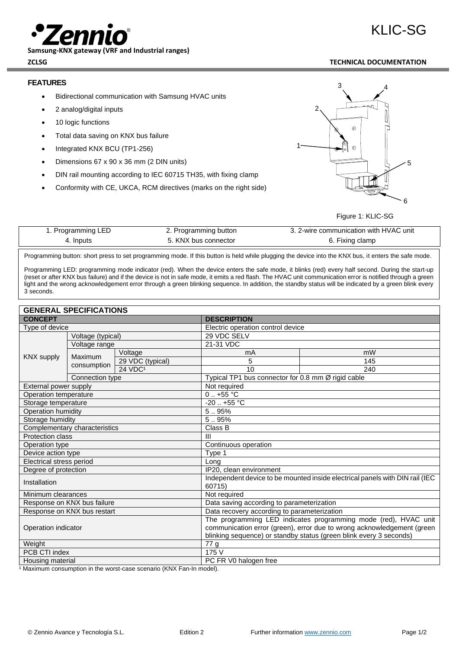

**Samsung-KNX gateway (VRF and Industrial ranges)**

# KLIC-SG

## **ZCLSG TECHNICAL DOCUMENTATION**

## **FEATURES**

- Bidirectional communication with Samsung HVAC units
- 2 analog/digital inputs
- 10 logic functions
- Total data saving on KNX bus failure
- Integrated KNX BCU (TP1-256)
- Dimensions 67 x 90 x 36 mm (2 DIN units)
- DIN rail mounting according to IEC 60715 TH35, with fixing clamp
- Conformity with CE, UKCA, RCM directives (marks on the right side)



#### Figure 1: KLIC-SG

| 1. Programming LED | 2. Programming button | 3. 2-wire communication with HVAC unit |
|--------------------|-----------------------|----------------------------------------|
| 4. Inputs          | 5. KNX bus connector  | 6. Fixing clamp                        |

Programming button: short press to set programming mode. If this button is held while plugging the device into the KNX bus, it enters the safe mode.

Programming LED: programming mode indicator (red). When the device enters the safe mode, it blinks (red) every half second. During the start-up (reset or after KNX bus failure) and if the device is not in safe mode, it emits a red flash. The HVAC unit communication error is notified through a green light and the wrong acknowledgement error through a green blinking sequence. In addition, the standby status will be indicated by a green blink every 3 seconds.

| <b>GENERAL SPECIFICATIONS</b>        |                             |                                                                                        |                                             |                                                    |  |
|--------------------------------------|-----------------------------|----------------------------------------------------------------------------------------|---------------------------------------------|----------------------------------------------------|--|
| <b>CONCEPT</b>                       |                             | <b>DESCRIPTION</b>                                                                     |                                             |                                                    |  |
| Type of device                       |                             |                                                                                        | Electric operation control device           |                                                    |  |
| Voltage (typical)                    |                             |                                                                                        | 29 VDC SELV                                 |                                                    |  |
| KNX supply<br>Maximum<br>consumption | Voltage range               |                                                                                        | 21-31 VDC                                   |                                                    |  |
|                                      |                             | Voltage                                                                                | mA                                          | mW                                                 |  |
|                                      |                             | 29 VDC (typical)                                                                       | 5                                           | 145                                                |  |
|                                      |                             | 24 VDC <sup>1</sup>                                                                    | 10                                          | 240                                                |  |
|                                      | Connection type             |                                                                                        |                                             | Typical TP1 bus connector for 0.8 mm Ø rigid cable |  |
| External power supply                |                             |                                                                                        | Not required                                |                                                    |  |
| Operation temperature                |                             |                                                                                        | $0.1 + 55$ °C                               |                                                    |  |
| Storage temperature                  |                             |                                                                                        | $-20$ $+55$ °C                              |                                                    |  |
| Operation humidity                   |                             |                                                                                        | 5.95%                                       |                                                    |  |
| Storage humidity                     |                             | 5.95%                                                                                  |                                             |                                                    |  |
| Complementary characteristics        |                             | Class B                                                                                |                                             |                                                    |  |
| <b>Protection class</b>              |                             | $\mathbf{III}$                                                                         |                                             |                                                    |  |
| Operation type                       |                             | Continuous operation                                                                   |                                             |                                                    |  |
| Device action type                   |                             | Type 1                                                                                 |                                             |                                                    |  |
| Electrical stress period             |                             | Long                                                                                   |                                             |                                                    |  |
| Degree of protection                 |                             | IP20, clean environment                                                                |                                             |                                                    |  |
| Installation                         |                             | Independent device to be mounted inside electrical panels with DIN rail (IEC<br>60715) |                                             |                                                    |  |
| Minimum clearances                   |                             |                                                                                        | Not required                                |                                                    |  |
|                                      | Response on KNX bus failure |                                                                                        | Data saving according to parameterization   |                                                    |  |
|                                      | Response on KNX bus restart |                                                                                        | Data recovery according to parameterization |                                                    |  |
| Operation indicator                  |                             | The programming LED indicates programming mode (red), HVAC unit                        |                                             |                                                    |  |
|                                      |                             | communication error (green), error due to wrong acknowledgement (green                 |                                             |                                                    |  |
|                                      |                             | blinking sequence) or standby status (green blink every 3 seconds)                     |                                             |                                                    |  |
| Weight                               |                             | 77 g                                                                                   |                                             |                                                    |  |
| PCB CTI index                        |                             | 175 V                                                                                  |                                             |                                                    |  |
| Housing material                     |                             | PC FR V0 halogen free                                                                  |                                             |                                                    |  |

<sup>1</sup> Maximum consumption in the worst-case scenario (KNX Fan-In model).